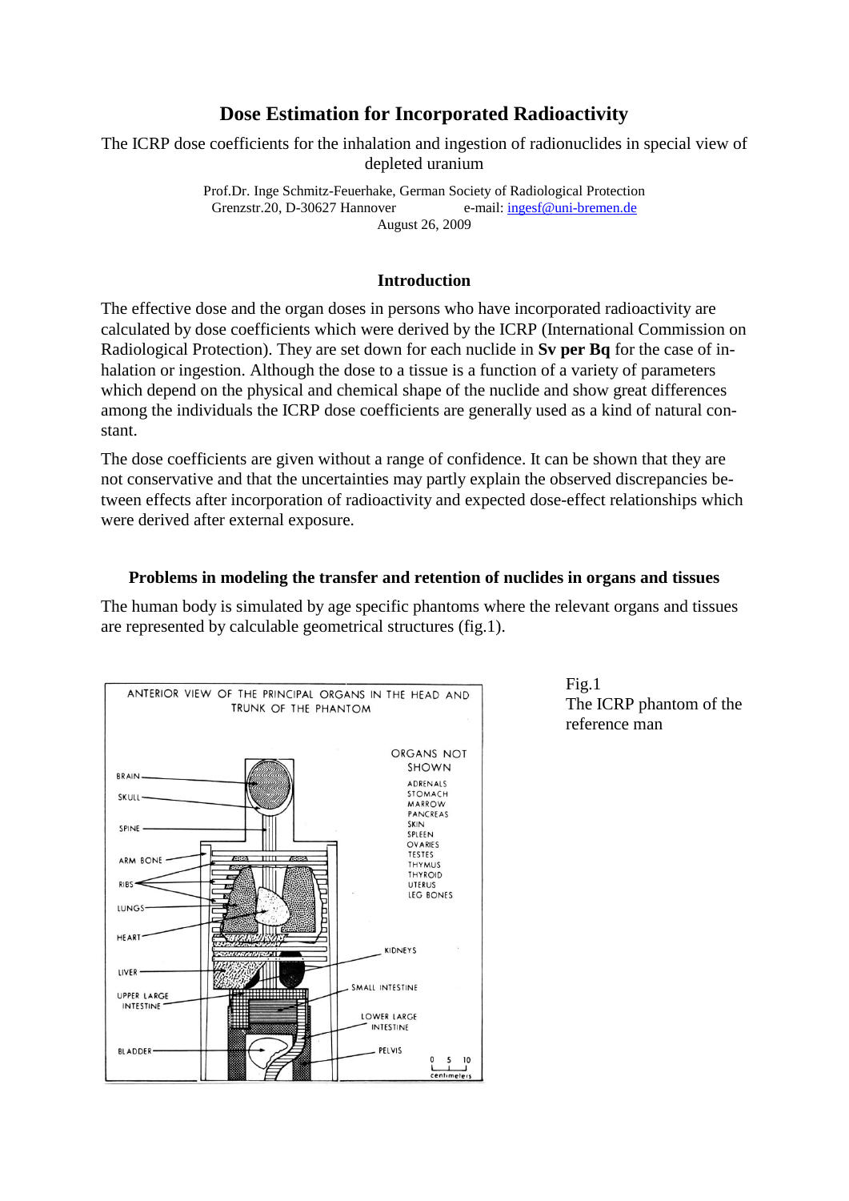# **Dose Estimation for Incorporated Radioactivity**

The ICRP dose coefficients for the inhalation and ingestion of radionuclides in special view of depleted uranium

> Prof.Dr. Inge Schmitz-Feuerhake, German Society of Radiological Protection Grenzstr.20, D-30627 Hannover e-mail: [ingesf@uni-bremen.de](mailto:ingesf@uni-bremen.de) August 26, 2009

## **Introduction**

The effective dose and the organ doses in persons who have incorporated radioactivity are calculated by dose coefficients which were derived by the ICRP (International Commission on Radiological Protection). They are set down for each nuclide in **Sv per Bq** for the case of inhalation or ingestion. Although the dose to a tissue is a function of a variety of parameters which depend on the physical and chemical shape of the nuclide and show great differences among the individuals the ICRP dose coefficients are generally used as a kind of natural constant.

The dose coefficients are given without a range of confidence. It can be shown that they are not conservative and that the uncertainties may partly explain the observed discrepancies between effects after incorporation of radioactivity and expected dose-effect relationships which were derived after external exposure.

## **Problems in modeling the transfer and retention of nuclides in organs and tissues**

The human body is simulated by age specific phantoms where the relevant organs and tissues are represented by calculable geometrical structures (fig.1).



Fig.1 The ICRP phantom of the reference man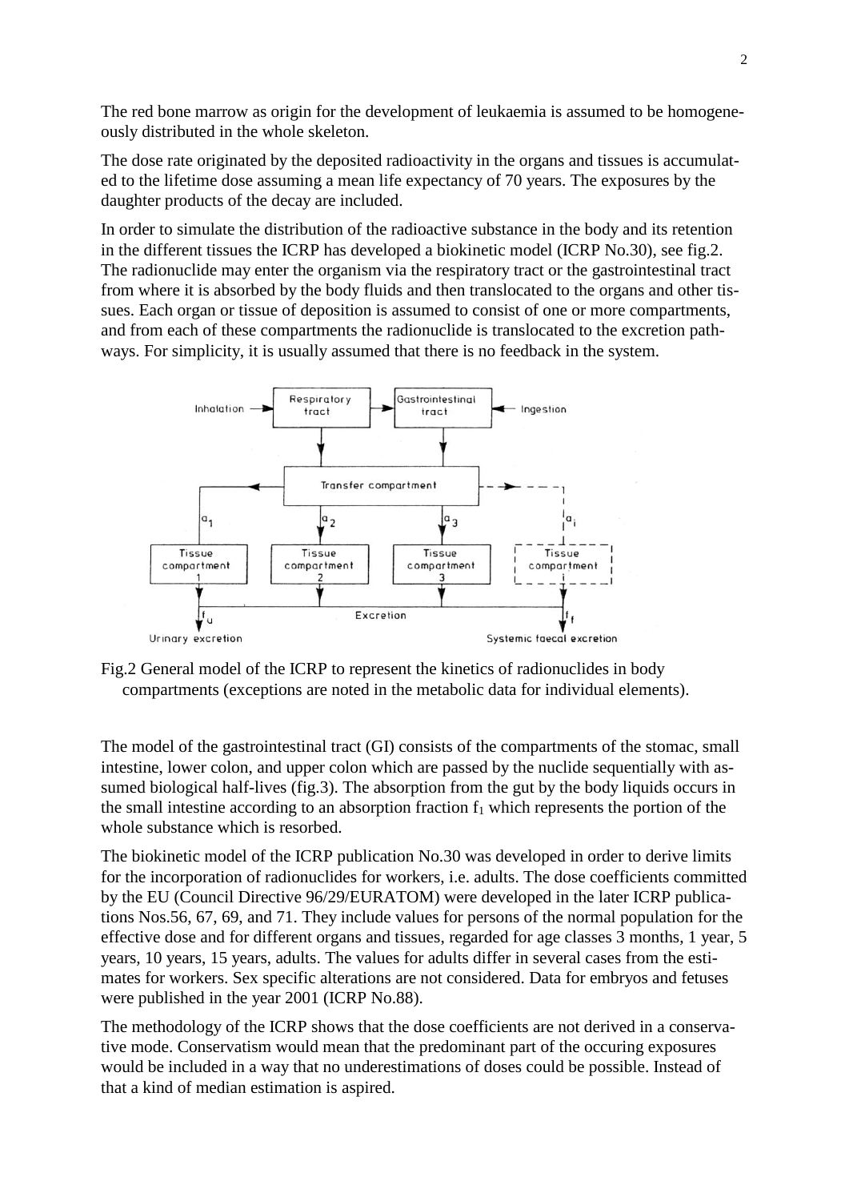The red bone marrow as origin for the development of leukaemia is assumed to be homogeneously distributed in the whole skeleton.

The dose rate originated by the deposited radioactivity in the organs and tissues is accumulated to the lifetime dose assuming a mean life expectancy of 70 years. The exposures by the daughter products of the decay are included.

In order to simulate the distribution of the radioactive substance in the body and its retention in the different tissues the ICRP has developed a biokinetic model (ICRP No.30), see fig.2. The radionuclide may enter the organism via the respiratory tract or the gastrointestinal tract from where it is absorbed by the body fluids and then translocated to the organs and other tissues. Each organ or tissue of deposition is assumed to consist of one or more compartments, and from each of these compartments the radionuclide is translocated to the excretion pathways. For simplicity, it is usually assumed that there is no feedback in the system.



Fig.2 General model of the ICRP to represent the kinetics of radionuclides in body compartments (exceptions are noted in the metabolic data for individual elements).

The model of the gastrointestinal tract (GI) consists of the compartments of the stomac, small intestine, lower colon, and upper colon which are passed by the nuclide sequentially with assumed biological half-lives (fig.3). The absorption from the gut by the body liquids occurs in the small intestine according to an absorption fraction  $f_1$  which represents the portion of the whole substance which is resorbed.

The biokinetic model of the ICRP publication No.30 was developed in order to derive limits for the incorporation of radionuclides for workers, i.e. adults. The dose coefficients committed by the EU (Council Directive 96/29/EURATOM) were developed in the later ICRP publications Nos.56, 67, 69, and 71. They include values for persons of the normal population for the effective dose and for different organs and tissues, regarded for age classes 3 months, 1 year, 5 years, 10 years, 15 years, adults. The values for adults differ in several cases from the estimates for workers. Sex specific alterations are not considered. Data for embryos and fetuses were published in the year 2001 (ICRP No.88).

The methodology of the ICRP shows that the dose coefficients are not derived in a conservative mode. Conservatism would mean that the predominant part of the occuring exposures would be included in a way that no underestimations of doses could be possible. Instead of that a kind of median estimation is aspired.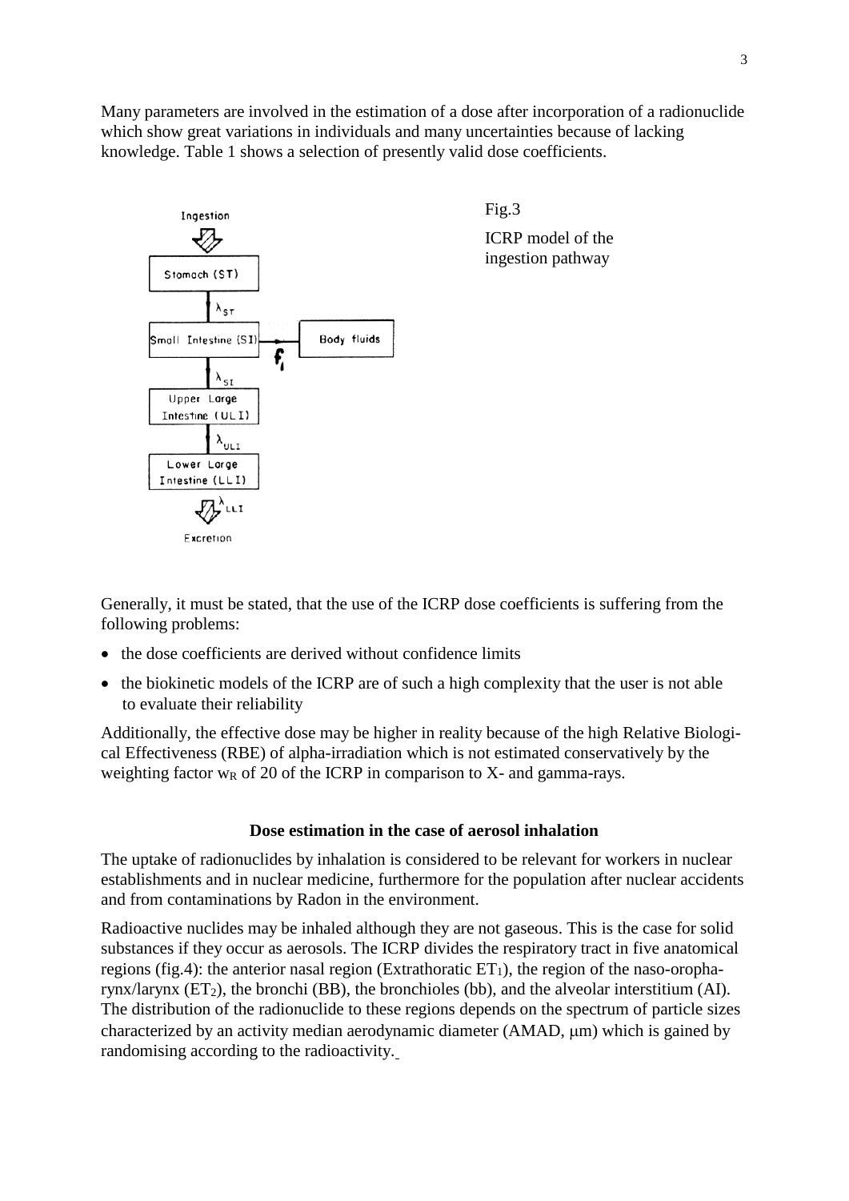Many parameters are involved in the estimation of a dose after incorporation of a radionuclide which show great variations in individuals and many uncertainties because of lacking knowledge. Table 1 shows a selection of presently valid dose coefficients.



Generally, it must be stated, that the use of the ICRP dose coefficients is suffering from the following problems:

- the dose coefficients are derived without confidence limits
- the biokinetic models of the ICRP are of such a high complexity that the user is not able to evaluate their reliability

Additionally, the effective dose may be higher in reality because of the high Relative Biological Effectiveness (RBE) of alpha-irradiation which is not estimated conservatively by the weighting factor  $w_R$  of 20 of the ICRP in comparison to X- and gamma-rays.

#### **Dose estimation in the case of aerosol inhalation**

The uptake of radionuclides by inhalation is considered to be relevant for workers in nuclear establishments and in nuclear medicine, furthermore for the population after nuclear accidents and from contaminations by Radon in the environment.

Radioactive nuclides may be inhaled although they are not gaseous. This is the case for solid substances if they occur as aerosols. The ICRP divides the respiratory tract in five anatomical regions (fig.4): the anterior nasal region (Extrathoratic  $ET_1$ ), the region of the naso-oropharynx/larynx ( $ET_2$ ), the bronchi (BB), the bronchioles (bb), and the alveolar interstitium (AI). The distribution of the radionuclide to these regions depends on the spectrum of particle sizes characterized by an activity median aerodynamic diameter (AMAD,  $\mu$ m) which is gained by randomising according to the radioactivity.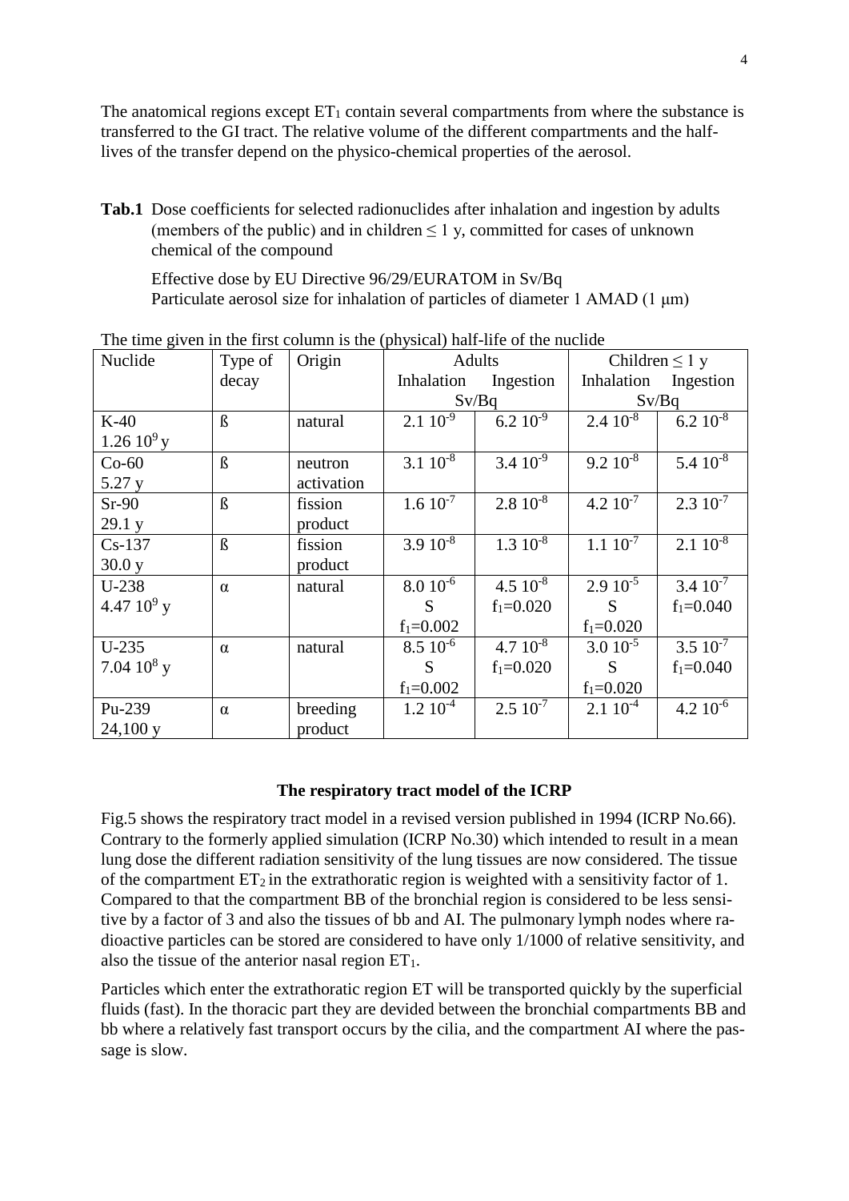The anatomical regions except  $ET_1$  contain several compartments from where the substance is transferred to the GI tract. The relative volume of the different compartments and the halflives of the transfer depend on the physico-chemical properties of the aerosol.

**Tab.1** Dose coefficients for selected radionuclides after inhalation and ingestion by adults (members of the public) and in children  $\leq 1$  y, committed for cases of unknown chemical of the compound

Effective dose by EU Directive 96/29/EURATOM in Sv/Bq Particulate aerosol size for inhalation of particles of diameter 1 AMAD (1 μm)

| Nuclide       | Type of  | Origin     |                  | Adults           |                  | Children $\leq 1$ y  |
|---------------|----------|------------|------------------|------------------|------------------|----------------------|
|               | decay    |            | Inhalation       | Ingestion        | Inhalation       | Ingestion            |
|               |          |            |                  | Sv/Bq            |                  | Sv/Bq                |
| $K-40$        | $\beta$  | natural    | $2.110^{-9}$     | $6.210^{-9}$     | $2.410^{-8}$     | $6.2~10^{-8}$        |
| $1.2610^9$ y  |          |            |                  |                  |                  |                      |
| $Co-60$       | $\beta$  | neutron    | $3.110^{-8}$     | $3.410^{-9}$     | $9.210^{-8}$     | $5.410^{-8}$         |
| 5.27 y        |          | activation |                  |                  |                  |                      |
| $Sr-90$       | $\beta$  | fission    | $1.6 10^{-7}$    | $2.810^{-8}$     | $4.2 \, 10^{-7}$ | $2.3 \times 10^{-7}$ |
| 29.1 y        |          | product    |                  |                  |                  |                      |
| $Cs-137$      | $\beta$  | fission    | $3.910^{-8}$     | $1.310^{-8}$     | $1.110^{-7}$     | $2.110^{-8}$         |
| 30.0 y        |          | product    |                  |                  |                  |                      |
| U-238         | $\alpha$ | natural    | $8.010^{-6}$     | $4.5 \, 10^{-8}$ | $2.910^{-5}$     | $3.4\ 10^{-7}$       |
| 4.47 $10^9$ y |          |            | S                | $f_1 = 0.020$    | S                | $f_1 = 0.040$        |
|               |          |            | $f_1 = 0.002$    |                  | $f_1 = 0.020$    |                      |
| $U-235$       | $\alpha$ | natural    | $8.510^{-6}$     | $4.710^{-8}$     | $3.010^{-5}$     | $3.5 \, 10^{-7}$     |
| 7.04 $10^8$ y |          |            | S                | $f_1 = 0.020$    | S                | $f_1 = 0.040$        |
|               |          |            | $f_1 = 0.002$    |                  | $f_1 = 0.020$    |                      |
| Pu-239        | $\alpha$ | breeding   | $1.2 \, 10^{-4}$ | $2.5 \, 10^{-7}$ | $2.110^{-4}$     | $4.210^{-6}$         |
| 24,100y       |          | product    |                  |                  |                  |                      |

The time given in the first column is the (physical) half-life of the nuclide

## **The respiratory tract model of the ICRP**

Fig.5 shows the respiratory tract model in a revised version published in 1994 (ICRP No.66). Contrary to the formerly applied simulation (ICRP No.30) which intended to result in a mean lung dose the different radiation sensitivity of the lung tissues are now considered. The tissue of the compartment  $ET_2$  in the extrathoratic region is weighted with a sensitivity factor of 1. Compared to that the compartment BB of the bronchial region is considered to be less sensitive by a factor of 3 and also the tissues of bb and AI. The pulmonary lymph nodes where radioactive particles can be stored are considered to have only 1/1000 of relative sensitivity, and also the tissue of the anterior nasal region  $ET_1$ .

Particles which enter the extrathoratic region ET will be transported quickly by the superficial fluids (fast). In the thoracic part they are devided between the bronchial compartments BB and bb where a relatively fast transport occurs by the cilia, and the compartment AI where the passage is slow.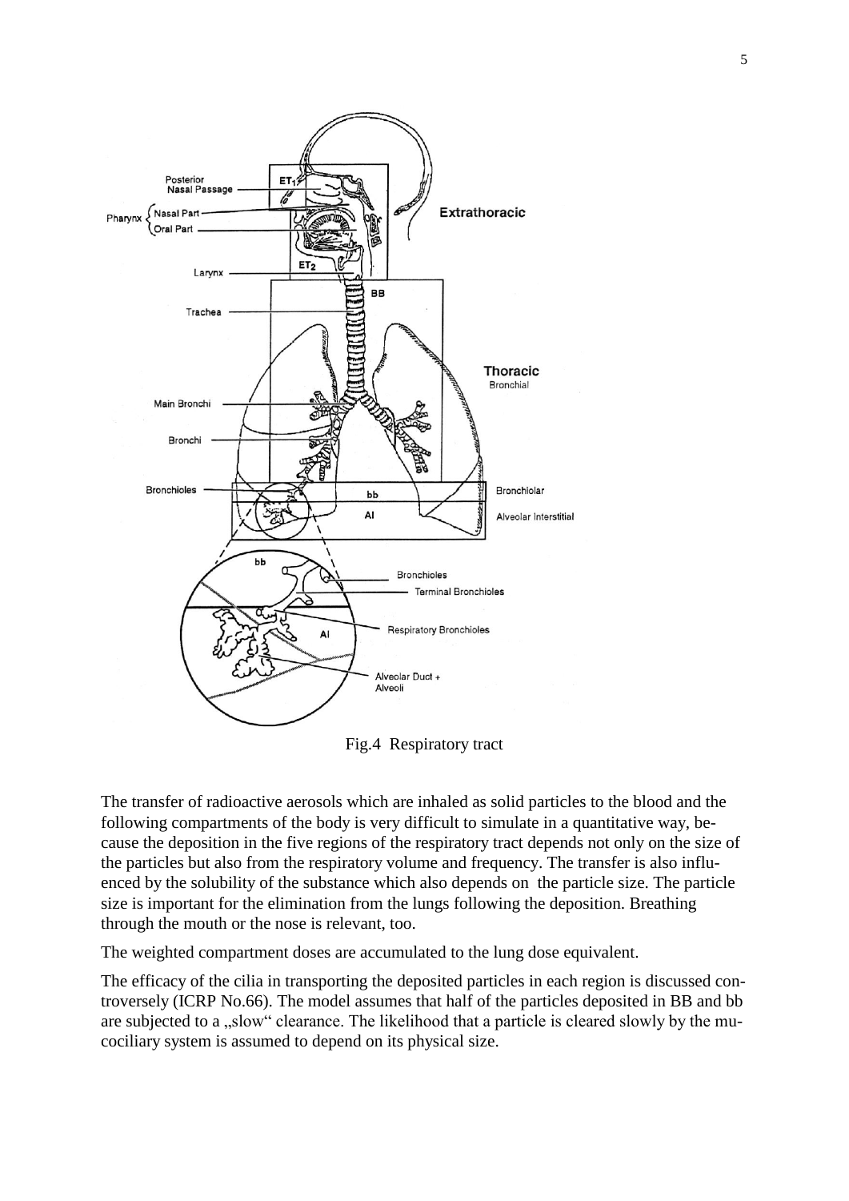

Fig.4 Respiratory tract

The transfer of radioactive aerosols which are inhaled as solid particles to the blood and the following compartments of the body is very difficult to simulate in a quantitative way, because the deposition in the five regions of the respiratory tract depends not only on the size of the particles but also from the respiratory volume and frequency. The transfer is also influenced by the solubility of the substance which also depends on the particle size. The particle size is important for the elimination from the lungs following the deposition. Breathing through the mouth or the nose is relevant, too.

The weighted compartment doses are accumulated to the lung dose equivalent.

The efficacy of the cilia in transporting the deposited particles in each region is discussed controversely (ICRP No.66). The model assumes that half of the particles deposited in BB and bb are subjected to a "slow" clearance. The likelihood that a particle is cleared slowly by the mucociliary system is assumed to depend on its physical size.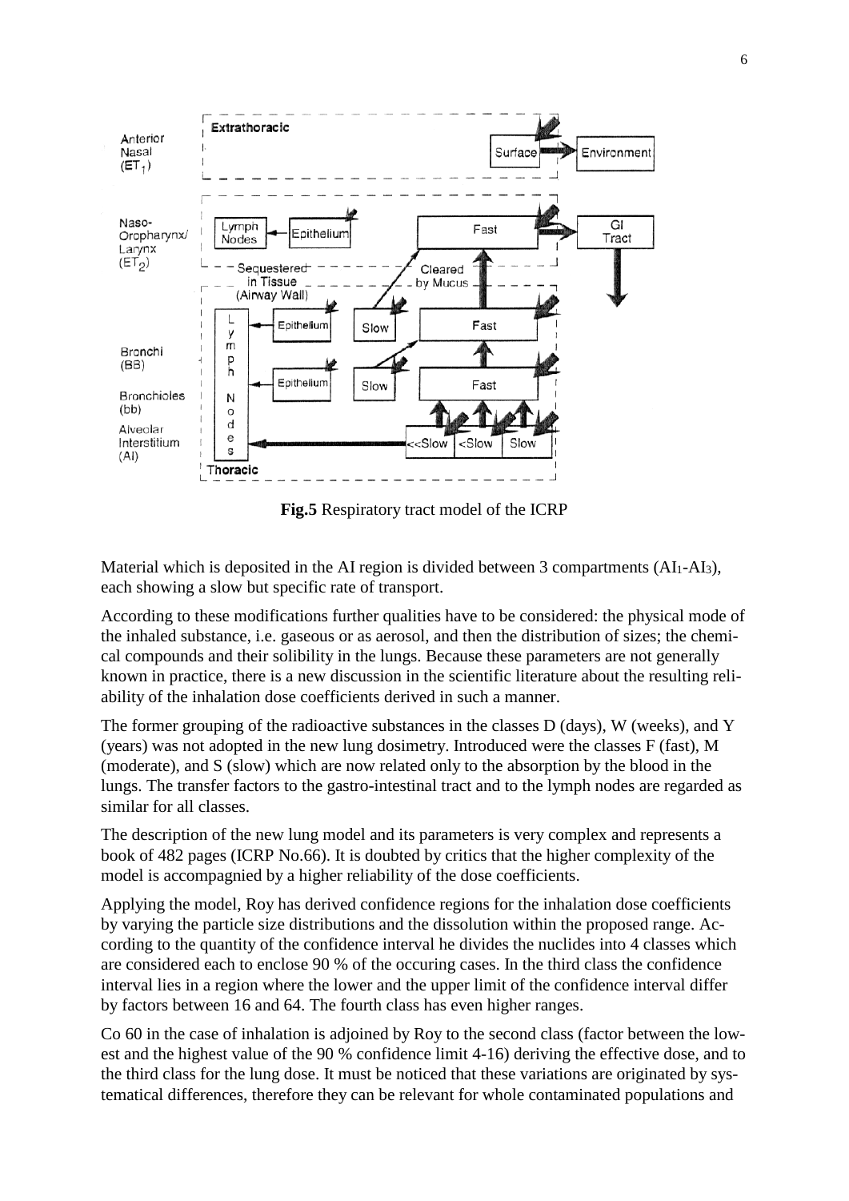

**Fig.5** Respiratory tract model of the ICRP

Material which is deposited in the AI region is divided between 3 compartments  $(AI_1-AI_3)$ , each showing a slow but specific rate of transport.

According to these modifications further qualities have to be considered: the physical mode of the inhaled substance, i.e. gaseous or as aerosol, and then the distribution of sizes; the chemical compounds and their solibility in the lungs. Because these parameters are not generally known in practice, there is a new discussion in the scientific literature about the resulting reliability of the inhalation dose coefficients derived in such a manner.

The former grouping of the radioactive substances in the classes D (days), W (weeks), and Y (years) was not adopted in the new lung dosimetry. Introduced were the classes F (fast), M (moderate), and S (slow) which are now related only to the absorption by the blood in the lungs. The transfer factors to the gastro-intestinal tract and to the lymph nodes are regarded as similar for all classes.

The description of the new lung model and its parameters is very complex and represents a book of 482 pages (ICRP No.66). It is doubted by critics that the higher complexity of the model is accompagnied by a higher reliability of the dose coefficients.

Applying the model, Roy has derived confidence regions for the inhalation dose coefficients by varying the particle size distributions and the dissolution within the proposed range. According to the quantity of the confidence interval he divides the nuclides into 4 classes which are considered each to enclose 90 % of the occuring cases. In the third class the confidence interval lies in a region where the lower and the upper limit of the confidence interval differ by factors between 16 and 64. The fourth class has even higher ranges.

Co 60 in the case of inhalation is adjoined by Roy to the second class (factor between the lowest and the highest value of the 90 % confidence limit 4-16) deriving the effective dose, and to the third class for the lung dose. It must be noticed that these variations are originated by systematical differences, therefore they can be relevant for whole contaminated populations and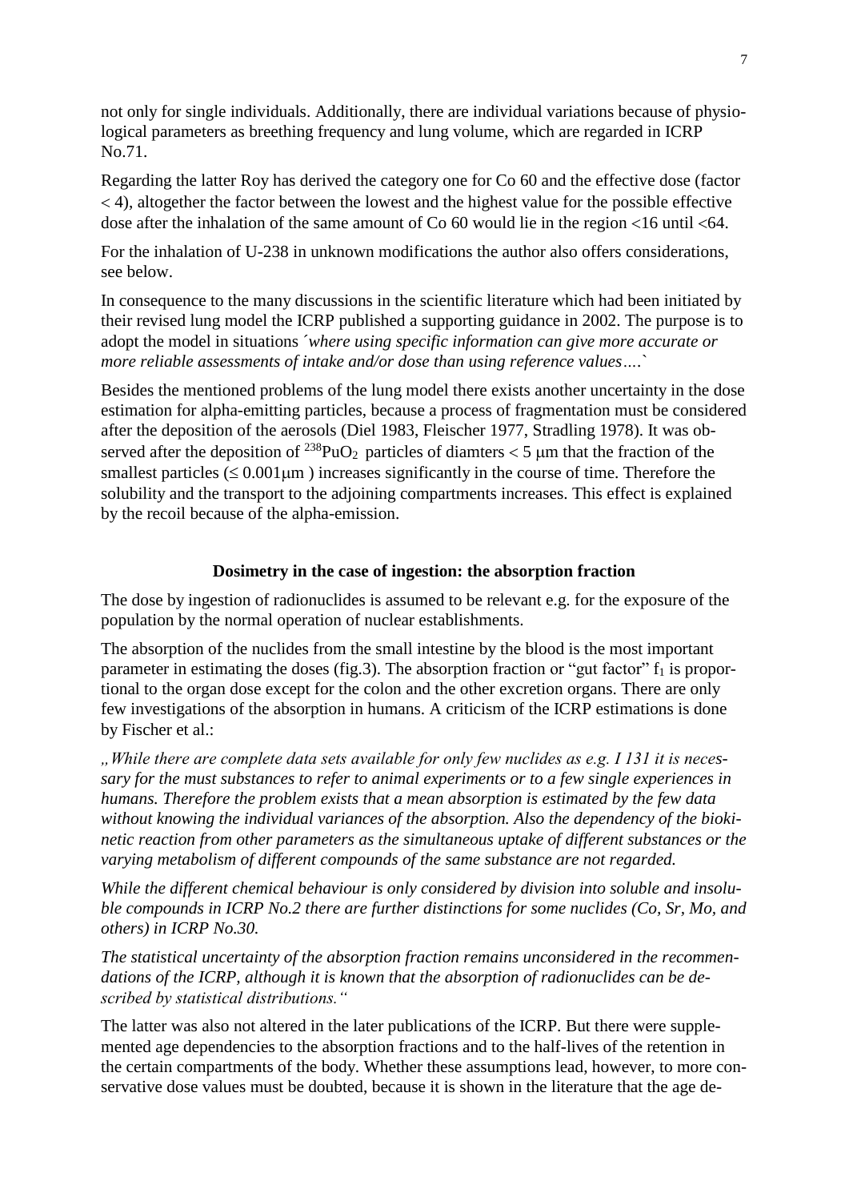not only for single individuals. Additionally, there are individual variations because of physiological parameters as breething frequency and lung volume, which are regarded in ICRP No.71.

Regarding the latter Roy has derived the category one for Co 60 and the effective dose (factor  $<$  4), altogether the factor between the lowest and the highest value for the possible effective dose after the inhalation of the same amount of Co  $60$  would lie in the region  $\langle 16 \text{ until } \langle 64 \rangle$ .

For the inhalation of U-238 in unknown modifications the author also offers considerations, see below.

In consequence to the many discussions in the scientific literature which had been initiated by their revised lung model the ICRP published a supporting guidance in 2002. The purpose is to adopt the model in situations ´*where using specific information can give more accurate or more reliable assessments of intake and/or dose than using reference values….*`

Besides the mentioned problems of the lung model there exists another uncertainty in the dose estimation for alpha-emitting particles, because a process of fragmentation must be considered after the deposition of the aerosols (Diel 1983, Fleischer 1977, Stradling 1978). It was observed after the deposition of <sup>238</sup>PuO<sub>2</sub> particles of diamters  $<$  5 µm that the fraction of the smallest particles  $( \leq 0.001 \,\text{\mu m} )$  increases significantly in the course of time. Therefore the solubility and the transport to the adjoining compartments increases. This effect is explained by the recoil because of the alpha-emission.

### **Dosimetry in the case of ingestion: the absorption fraction**

The dose by ingestion of radionuclides is assumed to be relevant e.g. for the exposure of the population by the normal operation of nuclear establishments.

The absorption of the nuclides from the small intestine by the blood is the most important parameter in estimating the doses (fig.3). The absorption fraction or "gut factor"  $f_1$  is proportional to the organ dose except for the colon and the other excretion organs. There are only few investigations of the absorption in humans. A criticism of the ICRP estimations is done by Fischer et al.:

*"While there are complete data sets available for only few nuclides as e.g. I 131 it is necessary for the must substances to refer to animal experiments or to a few single experiences in humans. Therefore the problem exists that a mean absorption is estimated by the few data without knowing the individual variances of the absorption. Also the dependency of the biokinetic reaction from other parameters as the simultaneous uptake of different substances or the varying metabolism of different compounds of the same substance are not regarded.*

*While the different chemical behaviour is only considered by division into soluble and insoluble compounds in ICRP No.2 there are further distinctions for some nuclides (Co, Sr, Mo, and others) in ICRP No.30.*

*The statistical uncertainty of the absorption fraction remains unconsidered in the recommendations of the ICRP, although it is known that the absorption of radionuclides can be described by statistical distributions."*

The latter was also not altered in the later publications of the ICRP. But there were supplemented age dependencies to the absorption fractions and to the half-lives of the retention in the certain compartments of the body. Whether these assumptions lead, however, to more conservative dose values must be doubted, because it is shown in the literature that the age de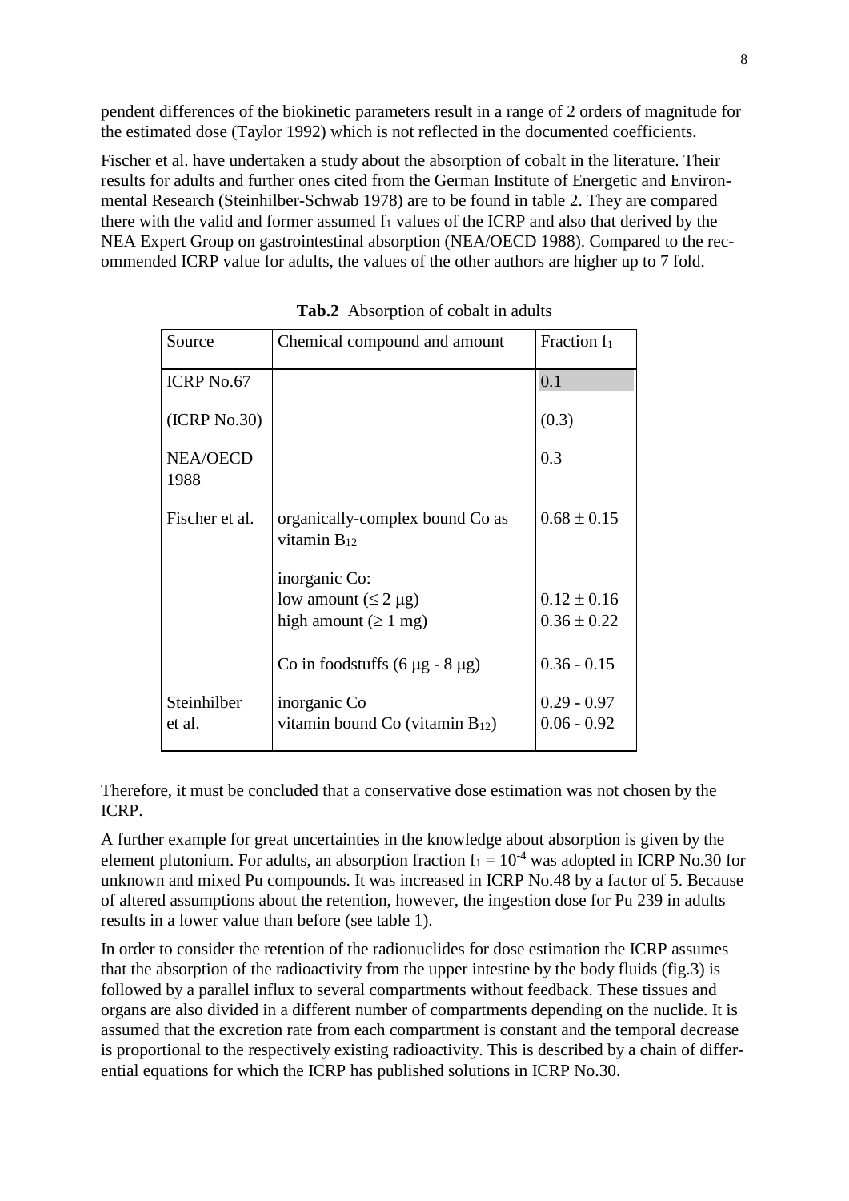pendent differences of the biokinetic parameters result in a range of 2 orders of magnitude for the estimated dose (Taylor 1992) which is not reflected in the documented coefficients.

Fischer et al. have undertaken a study about the absorption of cobalt in the literature. Their results for adults and further ones cited from the German Institute of Energetic and Environmental Research (Steinhilber-Schwab 1978) are to be found in table 2. They are compared there with the valid and former assumed  $f_1$  values of the ICRP and also that derived by the NEA Expert Group on gastrointestinal absorption (NEA/OECD 1988). Compared to the recommended ICRP value for adults, the values of the other authors are higher up to 7 fold.

| Source                  | Chemical compound and amount                        | Fraction f <sub>1</sub> |
|-------------------------|-----------------------------------------------------|-------------------------|
| <b>ICRP</b> No.67       |                                                     | 0.1                     |
| (ICRP No.30)            |                                                     | (0.3)                   |
| <b>NEA/OECD</b><br>1988 |                                                     | 0.3                     |
| Fischer et al.          | organically-complex bound Co as<br>vitamin $B_{12}$ | $0.68 \pm 0.15$         |
|                         | inorganic Co:                                       |                         |
|                         | low amount $( \leq 2 \mu g)$                        | $0.12 \pm 0.16$         |
|                         | high amount $(\geq 1$ mg)                           | $0.36 \pm 0.22$         |
|                         | Co in foodstuffs $(6 \mu g - 8 \mu g)$              | $0.36 - 0.15$           |
| Steinhilber             | inorganic Co                                        | $0.29 - 0.97$           |
| et al.                  | vitamin bound Co (vitamin $B_{12}$ )                | $0.06 - 0.92$           |

**Tab.2** Absorption of cobalt in adults

Therefore, it must be concluded that a conservative dose estimation was not chosen by the ICRP.

A further example for great uncertainties in the knowledge about absorption is given by the element plutonium. For adults, an absorption fraction  $f_1 = 10^{-4}$  was adopted in ICRP No.30 for unknown and mixed Pu compounds. It was increased in ICRP No.48 by a factor of 5. Because of altered assumptions about the retention, however, the ingestion dose for Pu 239 in adults results in a lower value than before (see table 1).

In order to consider the retention of the radionuclides for dose estimation the ICRP assumes that the absorption of the radioactivity from the upper intestine by the body fluids (fig.3) is followed by a parallel influx to several compartments without feedback. These tissues and organs are also divided in a different number of compartments depending on the nuclide. It is assumed that the excretion rate from each compartment is constant and the temporal decrease is proportional to the respectively existing radioactivity. This is described by a chain of differential equations for which the ICRP has published solutions in ICRP No.30.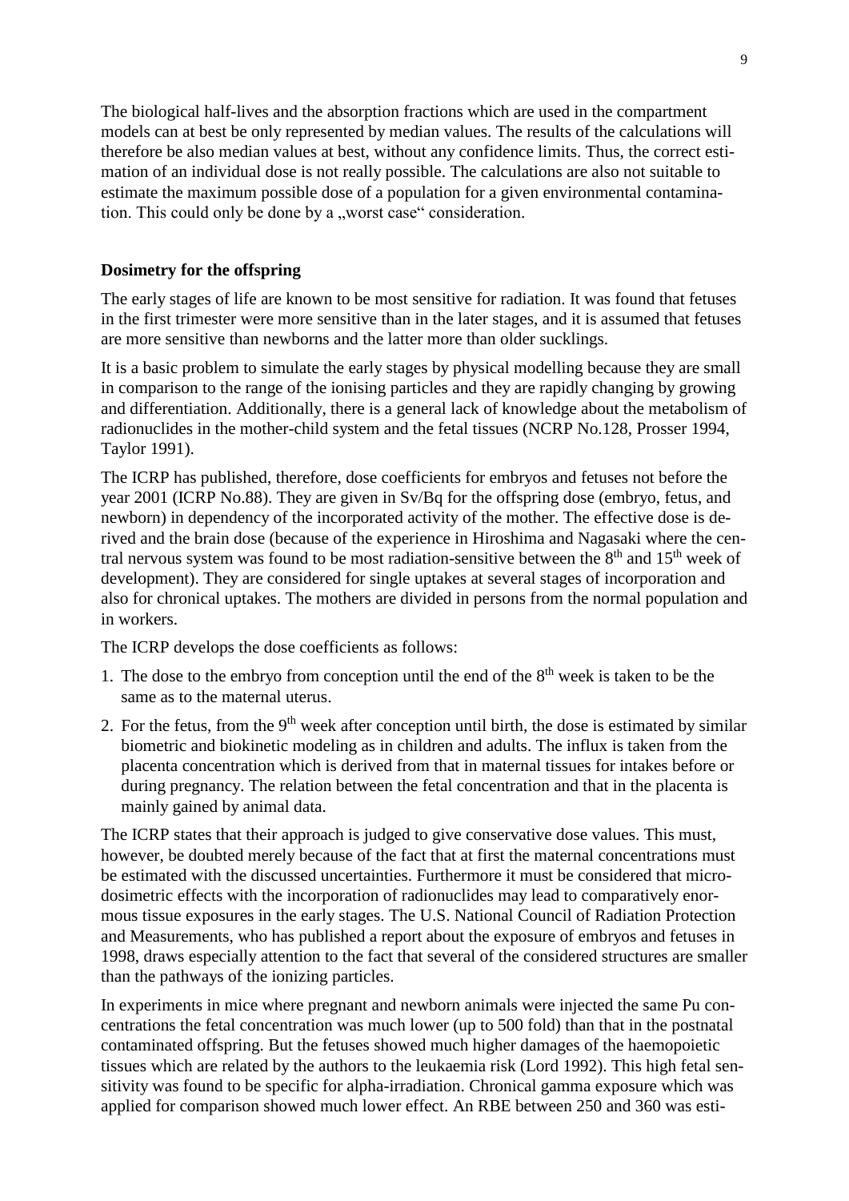The biological half-lives and the absorption fractions which are used in the compartment models can at best be only represented by median values. The results of the calculations will therefore be also median values at best, without any confidence limits. Thus, the correct estimation of an individual dose is not really possible. The calculations are also not suitable to estimate the maximum possible dose of a population for a given environmental contamination. This could only be done by a "worst case" consideration.

## **Dosimetry for the offspring**

The early stages of life are known to be most sensitive for radiation. It was found that fetuses in the first trimester were more sensitive than in the later stages, and it is assumed that fetuses are more sensitive than newborns and the latter more than older sucklings.

It is a basic problem to simulate the early stages by physical modelling because they are small in comparison to the range of the ionising particles and they are rapidly changing by growing and differentiation. Additionally, there is a general lack of knowledge about the metabolism of radionuclides in the mother-child system and the fetal tissues (NCRP No.128, Prosser 1994, Taylor 1991).

The ICRP has published, therefore, dose coefficients for embryos and fetuses not before the year 2001 (ICRP No.88). They are given in Sv/Bq for the offspring dose (embryo, fetus, and newborn) in dependency of the incorporated activity of the mother. The effective dose is derived and the brain dose (because of the experience in Hiroshima and Nagasaki where the central nervous system was found to be most radiation-sensitive between the  $8<sup>th</sup>$  and  $15<sup>th</sup>$  week of development). They are considered for single uptakes at several stages of incorporation and also for chronical uptakes. The mothers are divided in persons from the normal population and in workers.

The ICRP develops the dose coefficients as follows:

- 1. The dose to the embryo from conception until the end of the  $8<sup>th</sup>$  week is taken to be the same as to the maternal uterus.
- 2. For the fetus, from the  $9<sup>th</sup>$  week after conception until birth, the dose is estimated by similar biometric and biokinetic modeling as in children and adults. The influx is taken from the placenta concentration which is derived from that in maternal tissues for intakes before or during pregnancy. The relation between the fetal concentration and that in the placenta is mainly gained by animal data.

The ICRP states that their approach is judged to give conservative dose values. This must, however, be doubted merely because of the fact that at first the maternal concentrations must be estimated with the discussed uncertainties. Furthermore it must be considered that microdosimetric effects with the incorporation of radionuclides may lead to comparatively enormous tissue exposures in the early stages. The U.S. National Council of Radiation Protection and Measurements, who has published a report about the exposure of embryos and fetuses in 1998, draws especially attention to the fact that several of the considered structures are smaller than the pathways of the ionizing particles.

In experiments in mice where pregnant and newborn animals were injected the same Pu concentrations the fetal concentration was much lower (up to 500 fold) than that in the postnatal contaminated offspring. But the fetuses showed much higher damages of the haemopoietic tissues which are related by the authors to the leukaemia risk (Lord 1992). This high fetal sensitivity was found to be specific for alpha-irradiation. Chronical gamma exposure which was applied for comparison showed much lower effect. An RBE between 250 and 360 was esti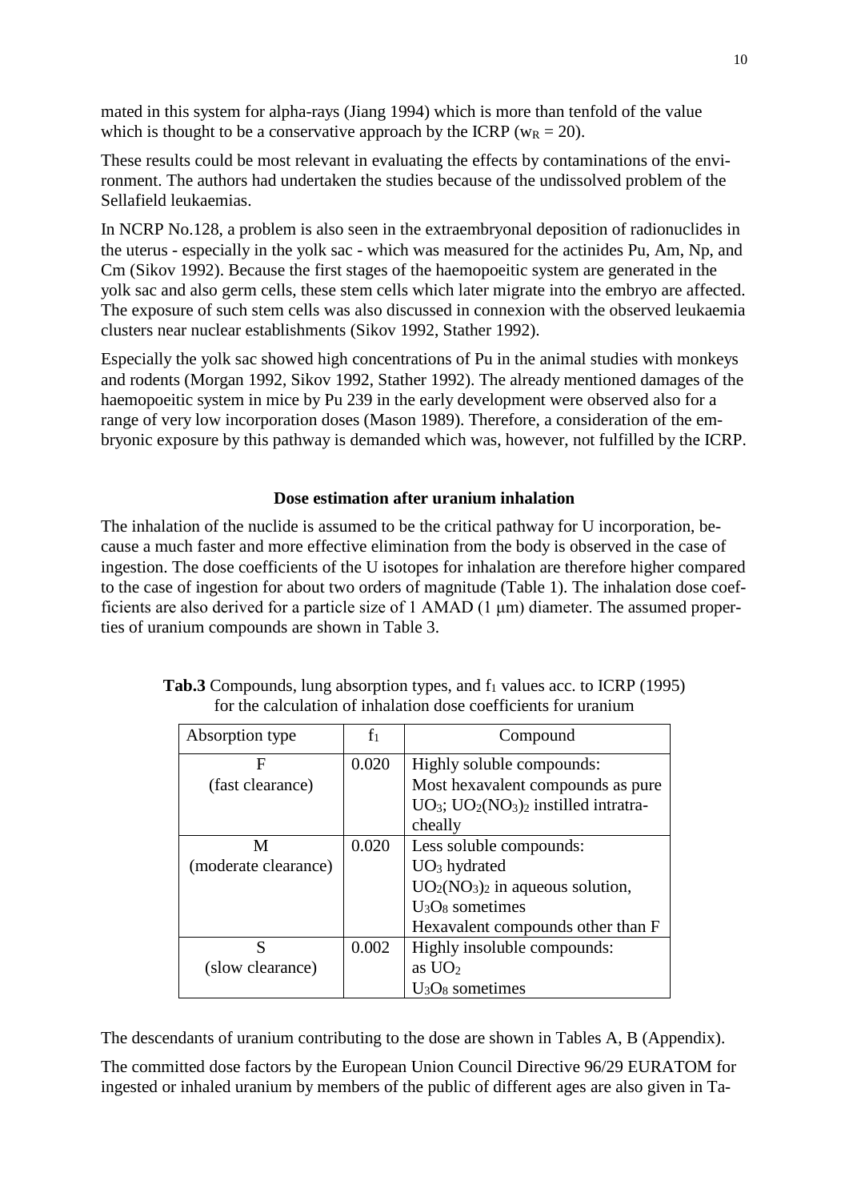mated in this system for alpha-rays (Jiang 1994) which is more than tenfold of the value which is thought to be a conservative approach by the ICRP ( $w_R = 20$ ).

These results could be most relevant in evaluating the effects by contaminations of the environment. The authors had undertaken the studies because of the undissolved problem of the Sellafield leukaemias.

In NCRP No.128, a problem is also seen in the extraembryonal deposition of radionuclides in the uterus - especially in the yolk sac - which was measured for the actinides Pu, Am, Np, and Cm (Sikov 1992). Because the first stages of the haemopoeitic system are generated in the yolk sac and also germ cells, these stem cells which later migrate into the embryo are affected. The exposure of such stem cells was also discussed in connexion with the observed leukaemia clusters near nuclear establishments (Sikov 1992, Stather 1992).

Especially the yolk sac showed high concentrations of Pu in the animal studies with monkeys and rodents (Morgan 1992, Sikov 1992, Stather 1992). The already mentioned damages of the haemopoeitic system in mice by Pu 239 in the early development were observed also for a range of very low incorporation doses (Mason 1989). Therefore, a consideration of the embryonic exposure by this pathway is demanded which was, however, not fulfilled by the ICRP.

## **Dose estimation after uranium inhalation**

The inhalation of the nuclide is assumed to be the critical pathway for U incorporation, because a much faster and more effective elimination from the body is observed in the case of ingestion. The dose coefficients of the U isotopes for inhalation are therefore higher compared to the case of ingestion for about two orders of magnitude (Table 1). The inhalation dose coefficients are also derived for a particle size of 1 AMAD (1 μm) diameter. The assumed properties of uranium compounds are shown in Table 3.

| Absorption type      | $f_1$ | Compound                                                                              |
|----------------------|-------|---------------------------------------------------------------------------------------|
| F                    | 0.020 | Highly soluble compounds:                                                             |
| (fast clearance)     |       | Most hexavalent compounds as pure                                                     |
|                      |       | UO <sub>3</sub> ; UO <sub>2</sub> (NO <sub>3</sub> ) <sub>2</sub> instilled intratra- |
|                      |       | cheally                                                                               |
| M                    | 0.020 | Less soluble compounds:                                                               |
| (moderate clearance) |       | $UO3$ hydrated                                                                        |
|                      |       | $UO2(NO3)2$ in aqueous solution,                                                      |
|                      |       | $U3O8$ sometimes                                                                      |
|                      |       | Hexavalent compounds other than F                                                     |
| S                    | 0.002 | Highly insoluble compounds:                                                           |
| (slow clearance)     |       | as $UO2$                                                                              |
|                      |       | $U_3O_8$ sometimes                                                                    |

**Tab.3** Compounds, lung absorption types, and  $f_1$  values acc. to ICRP (1995) for the calculation of inhalation dose coefficients for uranium

The descendants of uranium contributing to the dose are shown in Tables A, B (Appendix).

The committed dose factors by the European Union Council Directive 96/29 EURATOM for ingested or inhaled uranium by members of the public of different ages are also given in Ta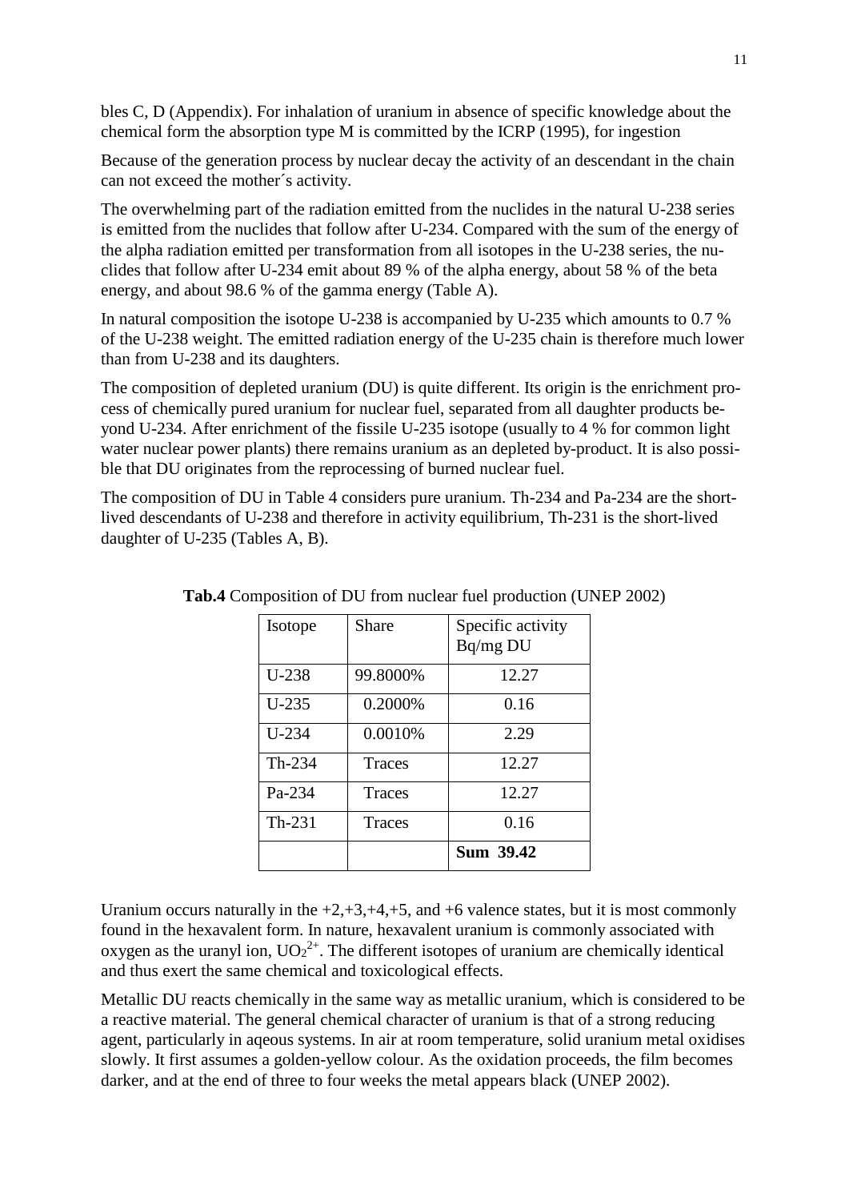bles C, D (Appendix). For inhalation of uranium in absence of specific knowledge about the chemical form the absorption type M is committed by the ICRP (1995), for ingestion

Because of the generation process by nuclear decay the activity of an descendant in the chain can not exceed the mother´s activity.

The overwhelming part of the radiation emitted from the nuclides in the natural U-238 series is emitted from the nuclides that follow after U-234. Compared with the sum of the energy of the alpha radiation emitted per transformation from all isotopes in the U-238 series, the nuclides that follow after U-234 emit about 89 % of the alpha energy, about 58 % of the beta energy, and about 98.6 % of the gamma energy (Table A).

In natural composition the isotope U-238 is accompanied by U-235 which amounts to 0.7 % of the U-238 weight. The emitted radiation energy of the U-235 chain is therefore much lower than from U-238 and its daughters.

The composition of depleted uranium (DU) is quite different. Its origin is the enrichment process of chemically pured uranium for nuclear fuel, separated from all daughter products beyond U-234. After enrichment of the fissile U-235 isotope (usually to 4 % for common light water nuclear power plants) there remains uranium as an depleted by-product. It is also possible that DU originates from the reprocessing of burned nuclear fuel.

The composition of DU in Table 4 considers pure uranium. Th-234 and Pa-234 are the shortlived descendants of U-238 and therefore in activity equilibrium, Th-231 is the short-lived daughter of U-235 (Tables A, B).

| Isotope  | Share         | Specific activity<br>Bq/mg DU |
|----------|---------------|-------------------------------|
| $U-238$  | 99.8000%      | 12.27                         |
| $U-235$  | 0.2000%       | 0.16                          |
| $U-234$  | 0.0010%       | 2.29                          |
| $Th-234$ | <b>Traces</b> | 12.27                         |
| Pa-234   | <b>Traces</b> | 12.27                         |
| $Th-231$ | <b>Traces</b> | 0.16                          |
|          |               | Sum 39.42                     |

**Tab.4** Composition of DU from nuclear fuel production (UNEP 2002)

Uranium occurs naturally in the  $+2, +3, +4, +5$ , and  $+6$  valence states, but it is most commonly found in the hexavalent form. In nature, hexavalent uranium is commonly associated with oxygen as the uranyl ion,  $UO_2^{2+}$ . The different isotopes of uranium are chemically identical and thus exert the same chemical and toxicological effects.

Metallic DU reacts chemically in the same way as metallic uranium, which is considered to be a reactive material. The general chemical character of uranium is that of a strong reducing agent, particularly in aqeous systems. In air at room temperature, solid uranium metal oxidises slowly. It first assumes a golden-yellow colour. As the oxidation proceeds, the film becomes darker, and at the end of three to four weeks the metal appears black (UNEP 2002).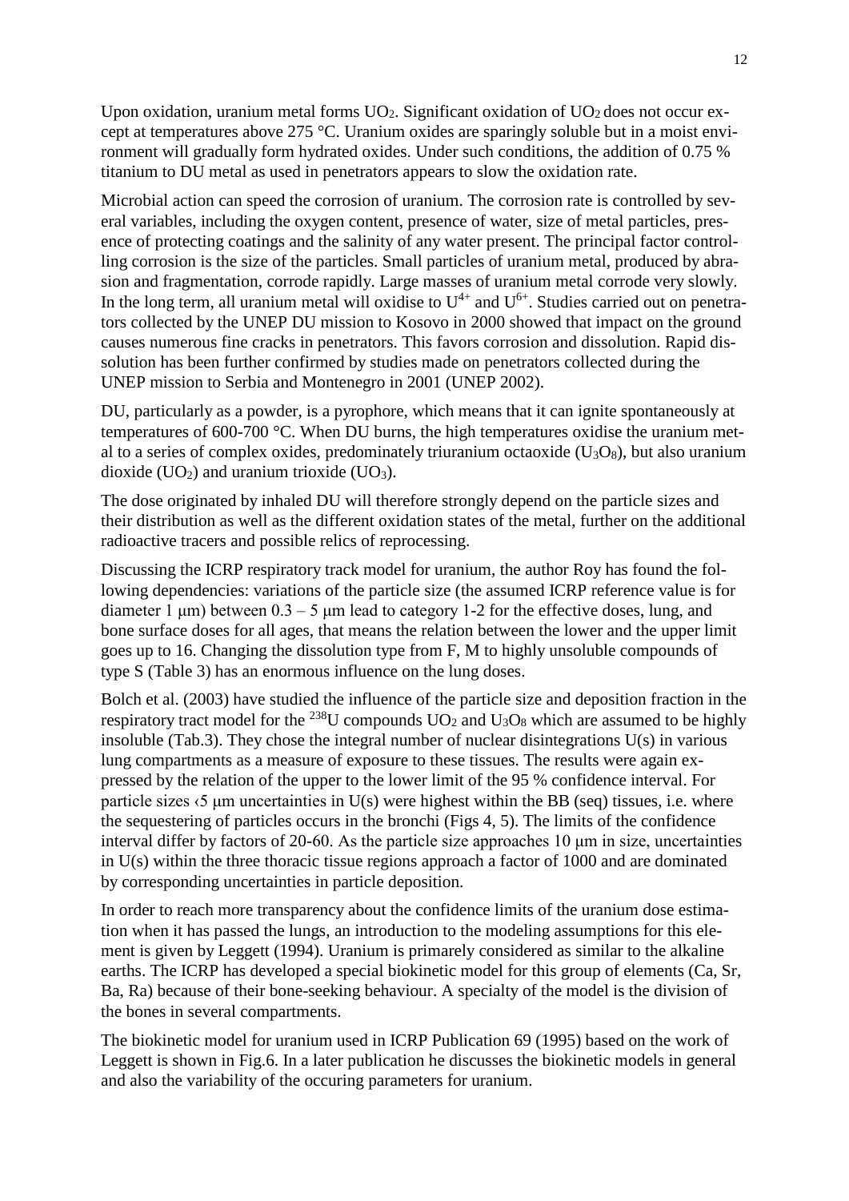Upon oxidation, uranium metal forms  $UO<sub>2</sub>$ . Significant oxidation of  $UO<sub>2</sub>$  does not occur except at temperatures above 275 °C. Uranium oxides are sparingly soluble but in a moist environment will gradually form hydrated oxides. Under such conditions, the addition of 0.75 % titanium to DU metal as used in penetrators appears to slow the oxidation rate.

Microbial action can speed the corrosion of uranium. The corrosion rate is controlled by several variables, including the oxygen content, presence of water, size of metal particles, presence of protecting coatings and the salinity of any water present. The principal factor controlling corrosion is the size of the particles. Small particles of uranium metal, produced by abrasion and fragmentation, corrode rapidly. Large masses of uranium metal corrode very slowly. In the long term, all uranium metal will oxidise to  $U^{4+}$  and  $U^{6+}$ . Studies carried out on penetrators collected by the UNEP DU mission to Kosovo in 2000 showed that impact on the ground causes numerous fine cracks in penetrators. This favors corrosion and dissolution. Rapid dissolution has been further confirmed by studies made on penetrators collected during the UNEP mission to Serbia and Montenegro in 2001 (UNEP 2002).

DU, particularly as a powder, is a pyrophore, which means that it can ignite spontaneously at temperatures of 600-700 °C. When DU burns, the high temperatures oxidise the uranium metal to a series of complex oxides, predominately triuranium octaoxide ( $U_3O_8$ ), but also uranium dioxide (UO<sub>2</sub>) and uranium trioxide (UO<sub>3</sub>).

The dose originated by inhaled DU will therefore strongly depend on the particle sizes and their distribution as well as the different oxidation states of the metal, further on the additional radioactive tracers and possible relics of reprocessing.

Discussing the ICRP respiratory track model for uranium, the author Roy has found the following dependencies: variations of the particle size (the assumed ICRP reference value is for diameter 1  $\mu$ m) between 0.3 – 5  $\mu$ m lead to category 1-2 for the effective doses, lung, and bone surface doses for all ages, that means the relation between the lower and the upper limit goes up to 16. Changing the dissolution type from F, M to highly unsoluble compounds of type S (Table 3) has an enormous influence on the lung doses.

Bolch et al. (2003) have studied the influence of the particle size and deposition fraction in the respiratory tract model for the <sup>238</sup>U compounds  $UO<sub>2</sub>$  and  $U<sub>3</sub>O<sub>8</sub>$  which are assumed to be highly insoluble (Tab.3). They chose the integral number of nuclear disintegrations U(s) in various lung compartments as a measure of exposure to these tissues. The results were again expressed by the relation of the upper to the lower limit of the 95 % confidence interval. For particle sizes  $\langle 5 \rangle$  µm uncertainties in U(s) were highest within the BB (seq) tissues, i.e. where the sequestering of particles occurs in the bronchi (Figs 4, 5). The limits of the confidence interval differ by factors of 20-60. As the particle size approaches 10 μm in size, uncertainties in U(s) within the three thoracic tissue regions approach a factor of 1000 and are dominated by corresponding uncertainties in particle deposition.

In order to reach more transparency about the confidence limits of the uranium dose estimation when it has passed the lungs, an introduction to the modeling assumptions for this element is given by Leggett (1994). Uranium is primarely considered as similar to the alkaline earths. The ICRP has developed a special biokinetic model for this group of elements (Ca, Sr, Ba, Ra) because of their bone-seeking behaviour. A specialty of the model is the division of the bones in several compartments.

The biokinetic model for uranium used in ICRP Publication 69 (1995) based on the work of Leggett is shown in Fig.6. In a later publication he discusses the biokinetic models in general and also the variability of the occuring parameters for uranium.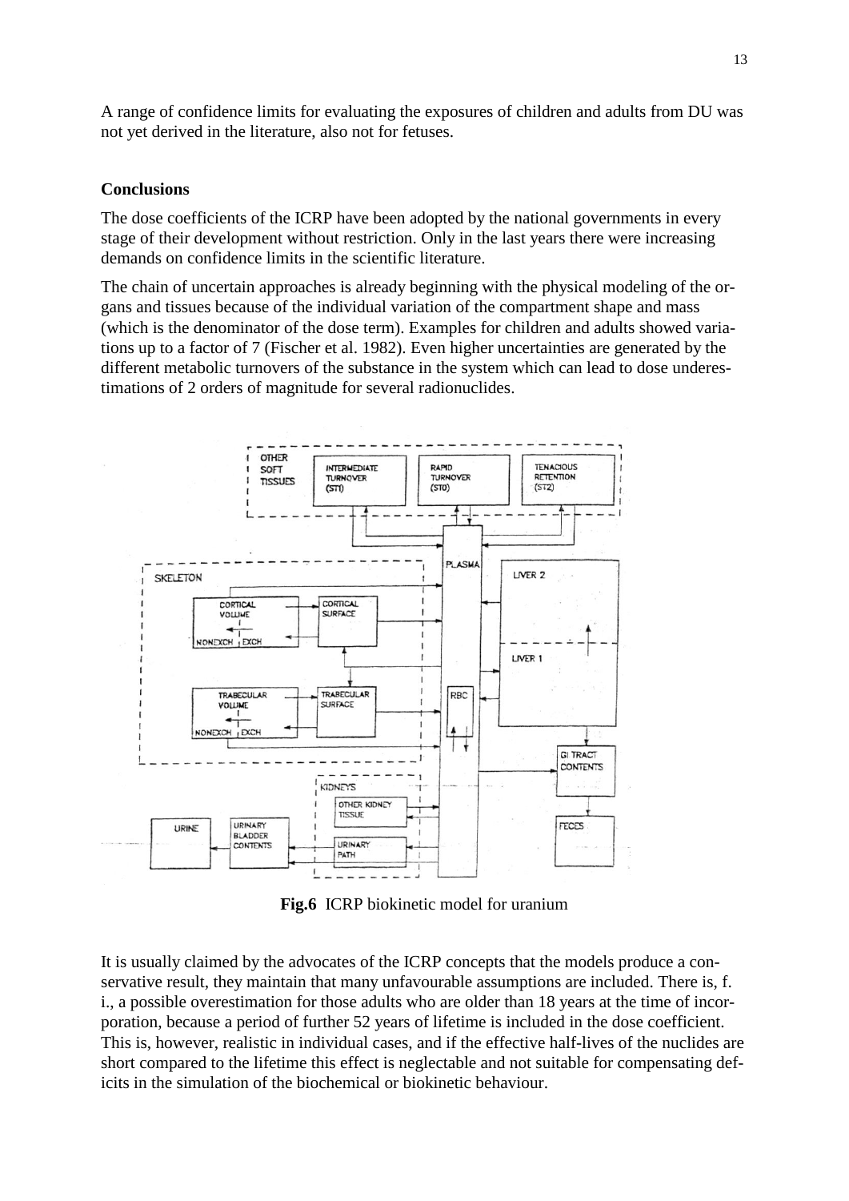A range of confidence limits for evaluating the exposures of children and adults from DU was not yet derived in the literature, also not for fetuses.

#### **Conclusions**

The dose coefficients of the ICRP have been adopted by the national governments in every stage of their development without restriction. Only in the last years there were increasing demands on confidence limits in the scientific literature.

The chain of uncertain approaches is already beginning with the physical modeling of the organs and tissues because of the individual variation of the compartment shape and mass (which is the denominator of the dose term). Examples for children and adults showed variations up to a factor of 7 (Fischer et al. 1982). Even higher uncertainties are generated by the different metabolic turnovers of the substance in the system which can lead to dose underestimations of 2 orders of magnitude for several radionuclides.



**Fig.6** ICRP biokinetic model for uranium

It is usually claimed by the advocates of the ICRP concepts that the models produce a conservative result, they maintain that many unfavourable assumptions are included. There is, f. i., a possible overestimation for those adults who are older than 18 years at the time of incorporation, because a period of further 52 years of lifetime is included in the dose coefficient. This is, however, realistic in individual cases, and if the effective half-lives of the nuclides are short compared to the lifetime this effect is neglectable and not suitable for compensating deficits in the simulation of the biochemical or biokinetic behaviour.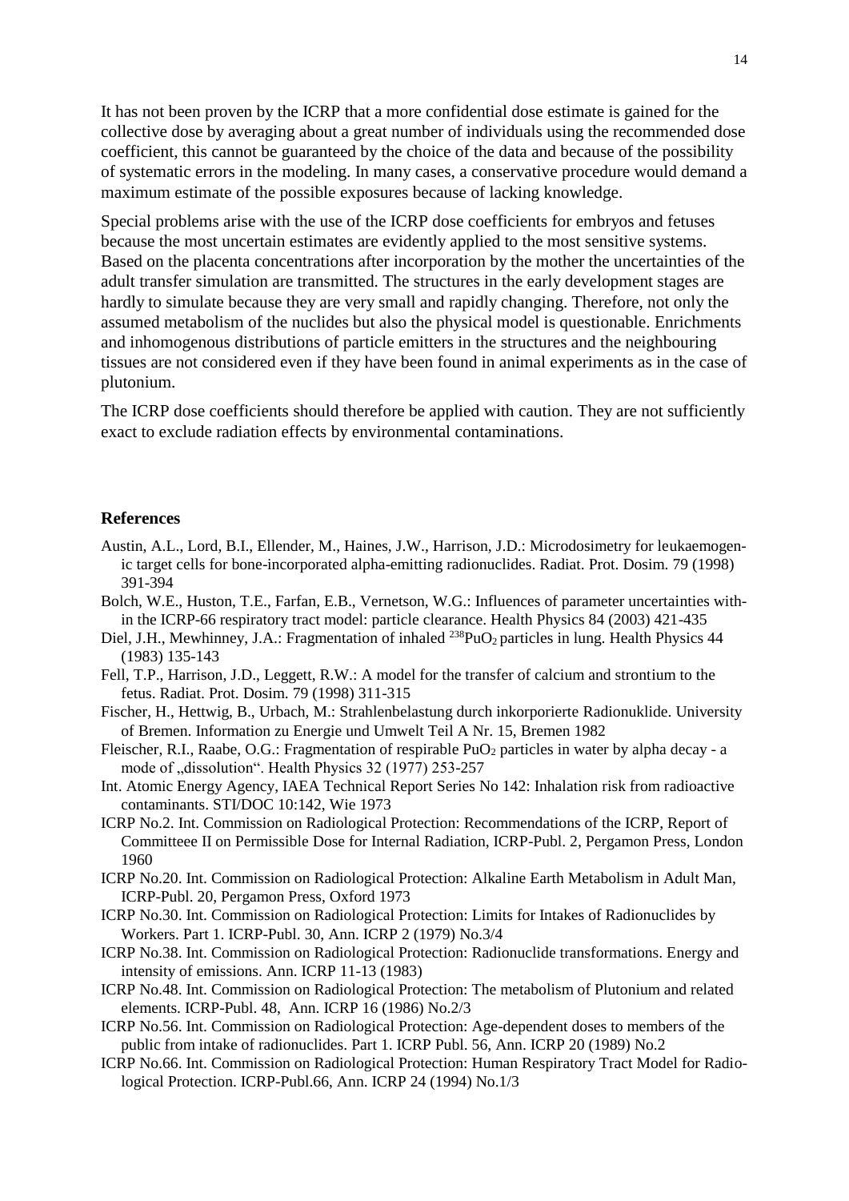It has not been proven by the ICRP that a more confidential dose estimate is gained for the collective dose by averaging about a great number of individuals using the recommended dose coefficient, this cannot be guaranteed by the choice of the data and because of the possibility of systematic errors in the modeling. In many cases, a conservative procedure would demand a maximum estimate of the possible exposures because of lacking knowledge.

Special problems arise with the use of the ICRP dose coefficients for embryos and fetuses because the most uncertain estimates are evidently applied to the most sensitive systems. Based on the placenta concentrations after incorporation by the mother the uncertainties of the adult transfer simulation are transmitted. The structures in the early development stages are hardly to simulate because they are very small and rapidly changing. Therefore, not only the assumed metabolism of the nuclides but also the physical model is questionable. Enrichments and inhomogenous distributions of particle emitters in the structures and the neighbouring tissues are not considered even if they have been found in animal experiments as in the case of plutonium.

The ICRP dose coefficients should therefore be applied with caution. They are not sufficiently exact to exclude radiation effects by environmental contaminations.

#### **References**

- Austin, A.L., Lord, B.I., Ellender, M., Haines, J.W., Harrison, J.D.: Microdosimetry for leukaemogenic target cells for bone-incorporated alpha-emitting radionuclides. Radiat. Prot. Dosim. 79 (1998) 391-394
- Bolch, W.E., Huston, T.E., Farfan, E.B., Vernetson, W.G.: Influences of parameter uncertainties within the ICRP-66 respiratory tract model: particle clearance. Health Physics 84 (2003) 421-435
- Diel, J.H., Mewhinney, J.A.: Fragmentation of inhaled <sup>238</sup>PuO<sub>2</sub> particles in lung. Health Physics 44 (1983) 135-143
- Fell, T.P., Harrison, J.D., Leggett, R.W.: A model for the transfer of calcium and strontium to the fetus. Radiat. Prot. Dosim. 79 (1998) 311-315
- Fischer, H., Hettwig, B., Urbach, M.: Strahlenbelastung durch inkorporierte Radionuklide. University of Bremen. Information zu Energie und Umwelt Teil A Nr. 15, Bremen 1982
- Fleischer, R.I., Raabe, O.G.: Fragmentation of respirable PuO<sup>2</sup> particles in water by alpha decay a mode of "dissolution". Health Physics 32 (1977) 253-257
- Int. Atomic Energy Agency, IAEA Technical Report Series No 142: Inhalation risk from radioactive contaminants. STI/DOC 10:142, Wie 1973
- ICRP No.2. Int. Commission on Radiological Protection: Recommendations of the ICRP, Report of Committeee II on Permissible Dose for Internal Radiation, ICRP-Publ. 2, Pergamon Press, London 1960
- ICRP No.20. Int. Commission on Radiological Protection: Alkaline Earth Metabolism in Adult Man, ICRP-Publ. 20, Pergamon Press, Oxford 1973
- ICRP No.30. Int. Commission on Radiological Protection: Limits for Intakes of Radionuclides by Workers. Part 1. ICRP-Publ. 30, Ann. ICRP 2 (1979) No.3/4
- ICRP No.38. Int. Commission on Radiological Protection: Radionuclide transformations. Energy and intensity of emissions. Ann. ICRP 11-13 (1983)
- ICRP No.48. Int. Commission on Radiological Protection: The metabolism of Plutonium and related elements. ICRP-Publ. 48, Ann. ICRP 16 (1986) No.2/3
- ICRP No.56. Int. Commission on Radiological Protection: Age-dependent doses to members of the public from intake of radionuclides. Part 1. ICRP Publ. 56, Ann. ICRP 20 (1989) No.2
- ICRP No.66. Int. Commission on Radiological Protection: Human Respiratory Tract Model for Radiological Protection. ICRP-Publ.66, Ann. ICRP 24 (1994) No.1/3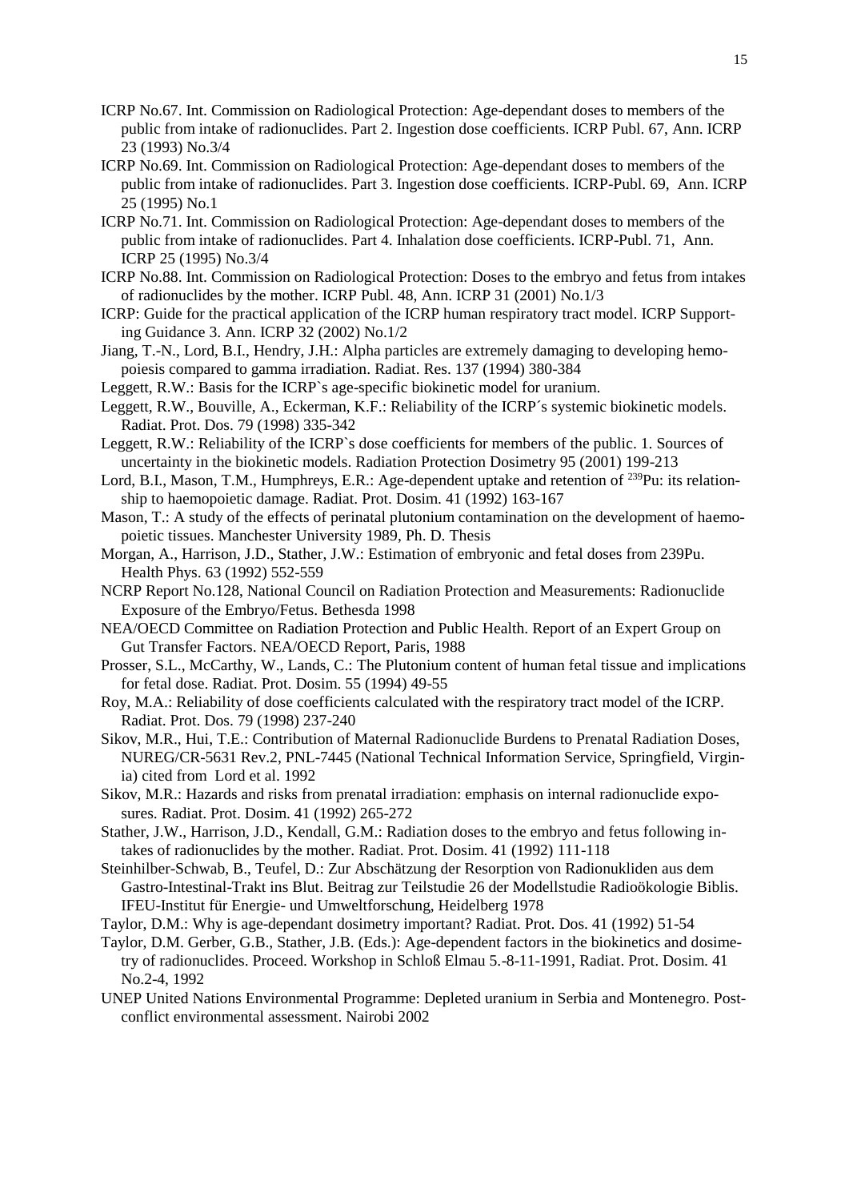- ICRP No.67. Int. Commission on Radiological Protection: Age-dependant doses to members of the public from intake of radionuclides. Part 2. Ingestion dose coefficients. ICRP Publ. 67, Ann. ICRP 23 (1993) No.3/4
- ICRP No.69. Int. Commission on Radiological Protection: Age-dependant doses to members of the public from intake of radionuclides. Part 3. Ingestion dose coefficients. ICRP-Publ. 69, Ann. ICRP 25 (1995) No.1
- ICRP No.71. Int. Commission on Radiological Protection: Age-dependant doses to members of the public from intake of radionuclides. Part 4. Inhalation dose coefficients. ICRP-Publ. 71, Ann. ICRP 25 (1995) No.3/4
- ICRP No.88. Int. Commission on Radiological Protection: Doses to the embryo and fetus from intakes of radionuclides by the mother. ICRP Publ. 48, Ann. ICRP 31 (2001) No.1/3
- ICRP: Guide for the practical application of the ICRP human respiratory tract model. ICRP Supporting Guidance 3. Ann. ICRP 32 (2002) No.1/2
- Jiang, T.-N., Lord, B.I., Hendry, J.H.: Alpha particles are extremely damaging to developing hemopoiesis compared to gamma irradiation. Radiat. Res. 137 (1994) 380-384
- Leggett, R.W.: Basis for the ICRP`s age-specific biokinetic model for uranium.
- Leggett, R.W., Bouville, A., Eckerman, K.F.: Reliability of the ICRP´s systemic biokinetic models. Radiat. Prot. Dos. 79 (1998) 335-342
- Leggett, R.W.: Reliability of the ICRP`s dose coefficients for members of the public. 1. Sources of uncertainty in the biokinetic models. Radiation Protection Dosimetry 95 (2001) 199-213
- Lord, B.I., Mason, T.M., Humphreys, E.R.: Age-dependent uptake and retention of <sup>239</sup>Pu: its relationship to haemopoietic damage. Radiat. Prot. Dosim. 41 (1992) 163-167
- Mason, T.: A study of the effects of perinatal plutonium contamination on the development of haemopoietic tissues. Manchester University 1989, Ph. D. Thesis
- Morgan, A., Harrison, J.D., Stather, J.W.: Estimation of embryonic and fetal doses from 239Pu. Health Phys. 63 (1992) 552-559
- NCRP Report No.128, National Council on Radiation Protection and Measurements: Radionuclide Exposure of the Embryo/Fetus. Bethesda 1998
- NEA/OECD Committee on Radiation Protection and Public Health. Report of an Expert Group on Gut Transfer Factors. NEA/OECD Report, Paris, 1988
- Prosser, S.L., McCarthy, W., Lands, C.: The Plutonium content of human fetal tissue and implications for fetal dose. Radiat. Prot. Dosim. 55 (1994) 49-55
- Roy, M.A.: Reliability of dose coefficients calculated with the respiratory tract model of the ICRP. Radiat. Prot. Dos. 79 (1998) 237-240
- Sikov, M.R., Hui, T.E.: Contribution of Maternal Radionuclide Burdens to Prenatal Radiation Doses, NUREG/CR-5631 Rev.2, PNL-7445 (National Technical Information Service, Springfield, Virginia) cited from Lord et al. 1992
- Sikov, M.R.: Hazards and risks from prenatal irradiation: emphasis on internal radionuclide exposures. Radiat. Prot. Dosim. 41 (1992) 265-272
- Stather, J.W., Harrison, J.D., Kendall, G.M.: Radiation doses to the embryo and fetus following intakes of radionuclides by the mother. Radiat. Prot. Dosim. 41 (1992) 111-118
- Steinhilber-Schwab, B., Teufel, D.: Zur Abschätzung der Resorption von Radionukliden aus dem Gastro-Intestinal-Trakt ins Blut. Beitrag zur Teilstudie 26 der Modellstudie Radioökologie Biblis. IFEU-Institut für Energie- und Umweltforschung, Heidelberg 1978
- Taylor, D.M.: Why is age-dependant dosimetry important? Radiat. Prot. Dos. 41 (1992) 51-54
- Taylor, D.M. Gerber, G.B., Stather, J.B. (Eds.): Age-dependent factors in the biokinetics and dosimetry of radionuclides. Proceed. Workshop in Schloß Elmau 5.-8-11-1991, Radiat. Prot. Dosim. 41 No.2-4, 1992
- UNEP United Nations Environmental Programme: Depleted uranium in Serbia and Montenegro. Postconflict environmental assessment. Nairobi 2002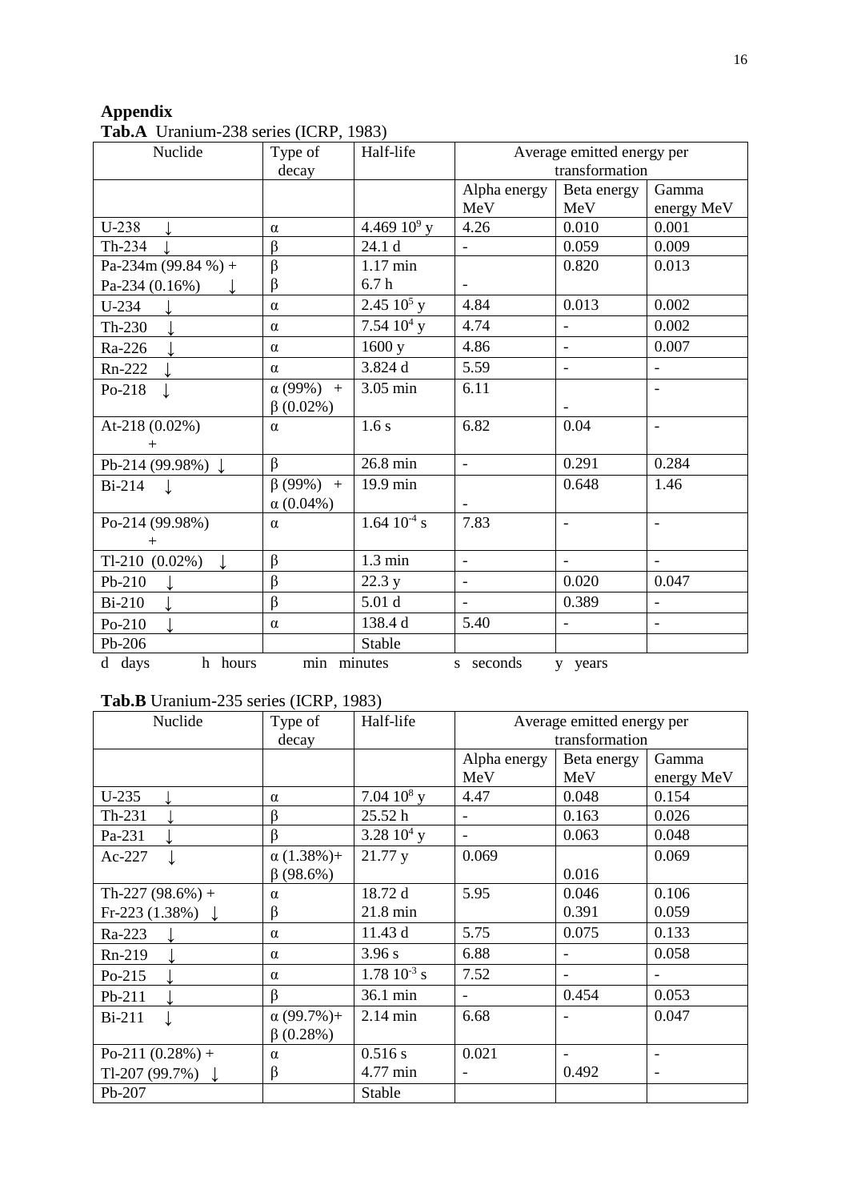# **Appendix**

**Tab.A** Uranium-238 series (ICRP, 1983)

| Nuclide             | Type of           | Half-life         | Average emitted energy per |                |                |  |  |  |  |
|---------------------|-------------------|-------------------|----------------------------|----------------|----------------|--|--|--|--|
|                     | decay             |                   |                            | transformation |                |  |  |  |  |
|                     |                   |                   | Alpha energy               | Beta energy    | Gamma          |  |  |  |  |
|                     |                   |                   | MeV                        | MeV            | energy MeV     |  |  |  |  |
| $U-238$             | $\alpha$          | 4.469 $10^9$ y    | 4.26                       | 0.010          | 0.001          |  |  |  |  |
| Th-234              | $\beta$           | 24.1 d            |                            | 0.059          | 0.009          |  |  |  |  |
| Pa-234m (99.84 %) + | $\beta$           | $1.17$ min        |                            | 0.820          | 0.013          |  |  |  |  |
| Pa-234 (0.16%)      | β                 | 6.7 <sub>h</sub>  | $\overline{\phantom{a}}$   |                |                |  |  |  |  |
| $U-234$             | $\alpha$          | 2.45 $10^5$ y     | 4.84                       | 0.013          | 0.002          |  |  |  |  |
| Th-230              | $\alpha$          | 7.54 $10^4$ y     | 4.74                       | $\overline{a}$ | 0.002          |  |  |  |  |
| Ra-226              | $\alpha$          | 1600y             | 4.86                       | $\overline{a}$ | 0.007          |  |  |  |  |
| Rn-222              | $\alpha$          | 3.824d            | 5.59                       |                | $\frac{1}{2}$  |  |  |  |  |
| Po-218 $\downarrow$ | $\alpha (99\%) +$ | 3.05 min          | 6.11                       |                |                |  |  |  |  |
|                     | $\beta(0.02\%)$   |                   |                            |                |                |  |  |  |  |
| At-218 (0.02%)      | $\alpha$          | 1.6s              | 6.82                       | 0.04           | $\blacksquare$ |  |  |  |  |
|                     |                   |                   |                            |                |                |  |  |  |  |
| Pb-214 (99.98%) ↓   | $\beta$           | 26.8 min          | $\overline{a}$             | 0.291          | 0.284          |  |  |  |  |
| $Bi-214$            | $\beta(99\%) +$   | 19.9 min          |                            | 0.648          | 1.46           |  |  |  |  |
|                     | $\alpha(0.04\%)$  |                   |                            |                |                |  |  |  |  |
| Po-214 (99.98%)     | $\alpha$          | $1.64~10^{-4}$ s  | 7.83                       |                |                |  |  |  |  |
|                     |                   |                   |                            |                |                |  |  |  |  |
| $Tl-210(0.02\%)$    | $\beta$           | $1.3 \text{ min}$ | $\overline{a}$             |                | $\equiv$       |  |  |  |  |
| Pb-210              | β                 | 22.3 y            |                            | 0.020          | 0.047          |  |  |  |  |
| <b>Bi-210</b>       | β                 | 5.01 <sub>d</sub> |                            | 0.389          | $\overline{a}$ |  |  |  |  |
| Po-210              | $\alpha$          | 138.4 d           | 5.40                       |                | $\frac{1}{2}$  |  |  |  |  |
| Pb-206              |                   | Stable            |                            |                |                |  |  |  |  |
| h hours<br>d days   | min minutes       |                   | s seconds                  | y years        |                |  |  |  |  |

# **Tab.B** Uranium-235 series (ICRP, 1983)

| Nuclide                     | Type of           | Half-life                     | Average emitted energy per |                |                          |  |  |
|-----------------------------|-------------------|-------------------------------|----------------------------|----------------|--------------------------|--|--|
|                             | decay             |                               |                            | transformation |                          |  |  |
|                             |                   |                               | Alpha energy               | Beta energy    | Gamma                    |  |  |
|                             |                   |                               | MeV                        | MeV            | energy MeV               |  |  |
| $U-235$                     | $\alpha$          | 7.04 $10^8$ y                 | 4.47                       | 0.048          | 0.154                    |  |  |
| Th-231                      | ß                 | 25.52h                        | $\overline{\phantom{a}}$   | 0.163          | 0.026                    |  |  |
| Pa-231                      | ß                 | 3.28 $10^4$ y                 | $\overline{\phantom{a}}$   | 0.063          | 0.048                    |  |  |
| Ac-227                      | $\alpha$ (1.38%)+ | 21.77 y                       | 0.069                      |                | 0.069                    |  |  |
|                             | $\beta$ (98.6%)   |                               |                            | 0.016          |                          |  |  |
| Th-227 $(98.6\%) +$         | $\alpha$          | 18.72 d                       | 5.95                       | 0.046          | 0.106                    |  |  |
| Fr-223 (1.38%) $\downarrow$ | β                 | $21.8 \text{ min}$            |                            | 0.391          | 0.059                    |  |  |
| Ra-223                      | $\alpha$          | 11.43 d                       | 5.75                       | 0.075          | 0.133                    |  |  |
| Rn-219                      | $\alpha$          | 3.96 s                        | 6.88                       |                | 0.058                    |  |  |
| $Po-215$                    | $\alpha$          | $1.78 \; 10^{-3} \; \text{s}$ | 7.52                       |                |                          |  |  |
| $Pb-211$                    | $\beta$           | 36.1 min                      |                            | 0.454          | 0.053                    |  |  |
| Bi-211                      | $\alpha$ (99.7%)+ | $2.14 \text{ min}$            | 6.68                       |                | 0.047                    |  |  |
|                             | $\beta(0.28%)$    |                               |                            |                |                          |  |  |
| Po-211 $(0.28%) +$          | $\alpha$          | 0.516 s                       | 0.021                      |                |                          |  |  |
| Tl-207 (99.7%) $\downarrow$ | β                 | 4.77 min                      | $\overline{\phantom{a}}$   | 0.492          | $\overline{\phantom{a}}$ |  |  |
| Pb-207                      |                   | Stable                        |                            |                |                          |  |  |